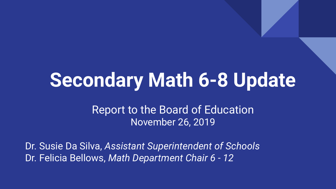# **Secondary Math 6-8 Update**

Report to the Board of Education November 26, 2019

Dr. Susie Da Silva, *Assistant Superintendent of Schools* Dr. Felicia Bellows, *Math Department Chair 6 - 12*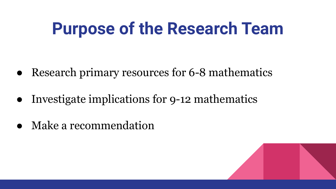# **Purpose of the Research Team**

- **●** Research primary resources for 6-8 mathematics
- Investigate implications for 9-12 mathematics
- **●** Make a recommendation

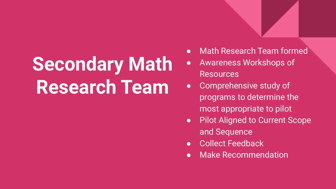# **Secondary Math Research Team**

- Math Research Team formed
- Awareness Workshops of Resources
- Comprehensive study of programs to determine the most appropriate to pilot
- Pilot Aligned to Current Scope and Sequence
- **Collect Feedback**
- Make Recommendation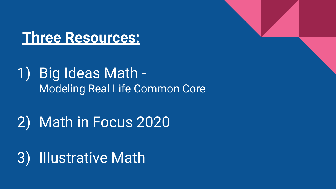

#### 1) Big Ideas Math - Modeling Real Life Common Core

## 2) Math in Focus 2020

3) Illustrative Math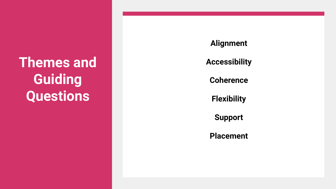**Themes and Guiding Questions**

**Alignment**

**Accessibility**

**Coherence**

**Flexibility**

**Support**

**Placement**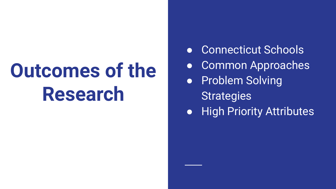# **Outcomes of the Research**

- Connecticut Schools
- Common Approaches
- Problem Solving
	- **Strategies**
- High Priority Attributes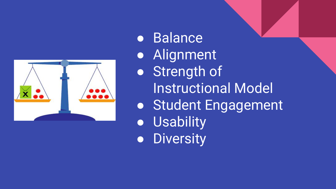

● Balance ● Alignment ● Strength of Instructional Model ● Student Engagement ● Usability ● Diversity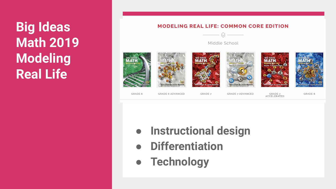## **Big Ideas Math 2019 Modeling Real Life**

#### **MODELING REAL LIFE: COMMON CORE EDITION**

 $\begin{picture}(20,20) \put(0,0){\line(1,0){10}} \put(15,0){\line(1,0){10}} \put(15,0){\line(1,0){10}} \put(15,0){\line(1,0){10}} \put(15,0){\line(1,0){10}} \put(15,0){\line(1,0){10}} \put(15,0){\line(1,0){10}} \put(15,0){\line(1,0){10}} \put(15,0){\line(1,0){10}} \put(15,0){\line(1,0){10}} \put(15,0){\line(1,0){10}} \put(15,0){\line(1$ 

Middle School





**GRADE 6 ADVANCED** 

GRADE 7

**GRADE 7 ADVANCED** 

GRADE 7 ACCELERATED GRADE 8

- **● Instructional design**
- **● Differentiation**
- **● Technology**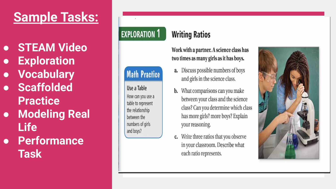### **Sample Tasks:**

- **● STEAM Video**
- **● Exploration**
- **● Vocabulary**
- **● Scaffolded Practice**
- **● Modeling Real Life**
- **● Performance Task**

#### **EXPLORATION 1**

#### **Math Practice**

Use a Table How can you use a table to represent the relationship between the numbers of girls and boys?

#### **Writing Ratios**

Work with a partner. A science class has two times as many girls as it has boys.

- a. Discuss possible numbers of boys and girls in the science class.
- **b.** What comparisons can you make between your class and the science class? Can you determine which class has more girls? more boys? Explain your reasoning.
- Write three ratios that you observe  $\mathbf{c}$ . in your classroom. Describe what each ratio represents.

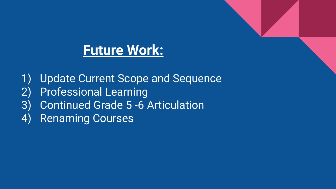### **Future Work:**

1) Update Current Scope and Sequence 2) Professional Learning 3) Continued Grade 5 -6 Articulation 4) Renaming Courses